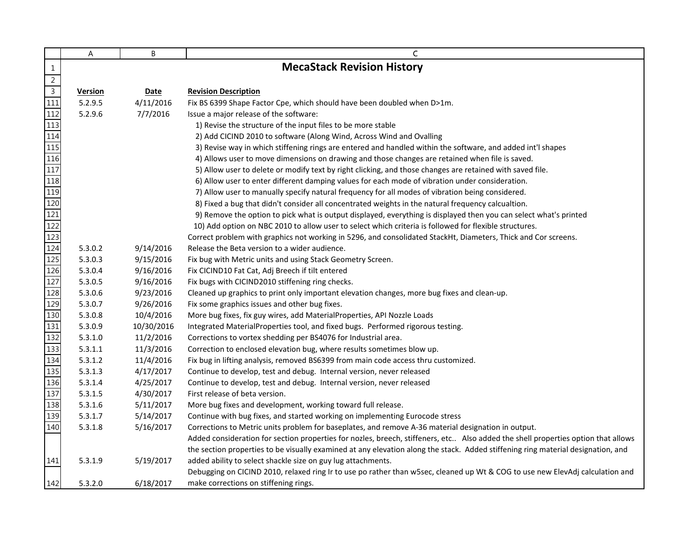|                                                                       | A              | B          | C                                                                                                                                 |
|-----------------------------------------------------------------------|----------------|------------|-----------------------------------------------------------------------------------------------------------------------------------|
| $\mathbf{1}$                                                          |                |            | <b>MecaStack Revision History</b>                                                                                                 |
| $\overline{2}$                                                        |                |            |                                                                                                                                   |
| $\overline{3}$                                                        | <b>Version</b> | Date       | <b>Revision Description</b>                                                                                                       |
| $\overline{111}$                                                      | 5.2.9.5        | 4/11/2016  | Fix BS 6399 Shape Factor Cpe, which should have been doubled when D>1m.                                                           |
| 112                                                                   | 5.2.9.6        | 7/7/2016   | Issue a major release of the software:                                                                                            |
| 113                                                                   |                |            | 1) Revise the structure of the input files to be more stable                                                                      |
| 114                                                                   |                |            | 2) Add CICIND 2010 to software (Along Wind, Across Wind and Ovalling                                                              |
| 115                                                                   |                |            | 3) Revise way in which stiffening rings are entered and handled within the software, and added int'l shapes                       |
| 116                                                                   |                |            | 4) Allows user to move dimensions on drawing and those changes are retained when file is saved.                                   |
| 117                                                                   |                |            | 5) Allow user to delete or modify text by right clicking, and those changes are retained with saved file.                         |
| 118                                                                   |                |            | 6) Allow user to enter different damping values for each mode of vibration under consideration.                                   |
| 119                                                                   |                |            | 7) Allow user to manually specify natural frequency for all modes of vibration being considered.                                  |
|                                                                       |                |            | 8) Fixed a bug that didn't consider all concentrated weights in the natural frequency calcualtion.                                |
|                                                                       |                |            | 9) Remove the option to pick what is output displayed, everything is displayed then you can select what's printed                 |
| $\begin{array}{r} \hline 120 \\ \hline 121 \\ \hline 122 \end{array}$ |                |            | 10) Add option on NBC 2010 to allow user to select which criteria is followed for flexible structures.                            |
| 123                                                                   |                |            | Correct problem with graphics not working in 5296, and consolidated StackHt, Diameters, Thick and Cor screens.                    |
| 124                                                                   | 5.3.0.2        | 9/14/2016  | Release the Beta version to a wider audience.                                                                                     |
| 125                                                                   | 5.3.0.3        | 9/15/2016  | Fix bug with Metric units and using Stack Geometry Screen.                                                                        |
| 126                                                                   | 5.3.0.4        | 9/16/2016  | Fix CICIND10 Fat Cat, Adj Breech if tilt entered                                                                                  |
| 127                                                                   | 5.3.0.5        | 9/16/2016  | Fix bugs with CICIND2010 stiffening ring checks.                                                                                  |
| 128                                                                   | 5.3.0.6        | 9/23/2016  | Cleaned up graphics to print only important elevation changes, more bug fixes and clean-up.                                       |
| 129                                                                   | 5.3.0.7        | 9/26/2016  | Fix some graphics issues and other bug fixes.                                                                                     |
| 130                                                                   | 5.3.0.8        | 10/4/2016  | More bug fixes, fix guy wires, add MaterialProperties, API Nozzle Loads                                                           |
| 131                                                                   | 5.3.0.9        | 10/30/2016 | Integrated MaterialProperties tool, and fixed bugs. Performed rigorous testing.                                                   |
| 132                                                                   | 5.3.1.0        | 11/2/2016  | Corrections to vortex shedding per BS4076 for Industrial area.                                                                    |
| 133                                                                   | 5.3.1.1        | 11/3/2016  | Correction to enclosed elevation bug, where results sometimes blow up.                                                            |
| 134                                                                   | 5.3.1.2        | 11/4/2016  | Fix bug in lifting analysis, removed BS6399 from main code access thru customized.                                                |
| 135                                                                   | 5.3.1.3        | 4/17/2017  | Continue to develop, test and debug. Internal version, never released                                                             |
| 136                                                                   | 5.3.1.4        | 4/25/2017  | Continue to develop, test and debug. Internal version, never released                                                             |
| 137                                                                   | 5.3.1.5        | 4/30/2017  | First release of beta version.                                                                                                    |
| 138                                                                   | 5.3.1.6        | 5/11/2017  | More bug fixes and development, working toward full release.                                                                      |
| 139                                                                   | 5.3.1.7        | 5/14/2017  | Continue with bug fixes, and started working on implementing Eurocode stress                                                      |
| 140                                                                   | 5.3.1.8        | 5/16/2017  | Corrections to Metric units problem for baseplates, and remove A-36 material designation in output.                               |
|                                                                       |                |            | Added consideration for section properties for nozles, breech, stiffeners, etc Also added the shell properties option that allows |
|                                                                       |                |            | the section properties to be visually examined at any elevation along the stack. Added stiffening ring material designation, and  |
| 141                                                                   | 5.3.1.9        | 5/19/2017  | added ability to select shackle size on guy lug attachments.                                                                      |
|                                                                       |                |            | Debugging on CICIND 2010, relaxed ring Ir to use po rather than w5sec, cleaned up Wt & COG to use new ElevAdj calculation and     |
| 142                                                                   | 5.3.2.0        | 6/18/2017  | make corrections on stiffening rings.                                                                                             |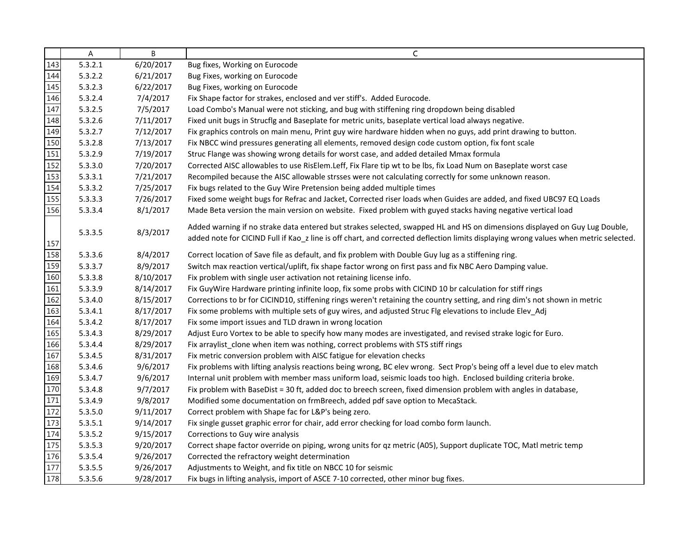| Α       | B         | C                                                                                                                                    |
|---------|-----------|--------------------------------------------------------------------------------------------------------------------------------------|
| 5.3.2.1 | 6/20/2017 | Bug fixes, Working on Eurocode                                                                                                       |
| 5.3.2.2 | 6/21/2017 | Bug Fixes, working on Eurocode                                                                                                       |
| 5.3.2.3 | 6/22/2017 | Bug Fixes, working on Eurocode                                                                                                       |
| 5.3.2.4 | 7/4/2017  | Fix Shape factor for strakes, enclosed and ver stiff's. Added Eurocode.                                                              |
| 5.3.2.5 | 7/5/2017  | Load Combo's Manual were not sticking, and bug with stiffening ring dropdown being disabled                                          |
| 5.3.2.6 | 7/11/2017 | Fixed unit bugs in Strucflg and Baseplate for metric units, baseplate vertical load always negative.                                 |
| 5.3.2.7 | 7/12/2017 | Fix graphics controls on main menu, Print guy wire hardware hidden when no guys, add print drawing to button.                        |
| 5.3.2.8 | 7/13/2017 | Fix NBCC wind pressures generating all elements, removed design code custom option, fix font scale                                   |
| 5.3.2.9 | 7/19/2017 | Struc Flange was showing wrong details for worst case, and added detailed Mmax formula                                               |
| 5.3.3.0 | 7/20/2017 | Corrected AISC allowables to use RisElem.Leff, Fix Flare tip wt to be lbs, fix Load Num on Baseplate worst case                      |
| 5.3.3.1 | 7/21/2017 | Recompiled because the AISC allowable strsses were not calculating correctly for some unknown reason.                                |
| 5.3.3.2 | 7/25/2017 | Fix bugs related to the Guy Wire Pretension being added multiple times                                                               |
| 5.3.3.3 | 7/26/2017 | Fixed some weight bugs for Refrac and Jacket, Corrected riser loads when Guides are added, and fixed UBC97 EQ Loads                  |
| 5.3.3.4 | 8/1/2017  | Made Beta version the main version on website. Fixed problem with guyed stacks having negative vertical load                         |
|         |           | Added warning if no strake data entered but strakes selected, swapped HL and HS on dimensions displayed on Guy Lug Double,           |
| 5.3.3.5 | 8/3/2017  | added note for CICIND Full if Kao_z line is off chart, and corrected deflection limits displaying wrong values when metric selected. |
| 5.3.3.6 | 8/4/2017  | Correct location of Save file as default, and fix problem with Double Guy lug as a stiffening ring.                                  |
| 5.3.3.7 | 8/9/2017  | Switch max reaction vertical/uplift, fix shape factor wrong on first pass and fix NBC Aero Damping value.                            |
| 5.3.3.8 | 8/10/2017 | Fix problem with single user activation not retaining license info.                                                                  |
| 5.3.3.9 | 8/14/2017 | Fix GuyWire Hardware printing infinite loop, fix some probs with CICIND 10 br calculation for stiff rings                            |
| 5.3.4.0 | 8/15/2017 | Corrections to br for CICIND10, stiffening rings weren't retaining the country setting, and ring dim's not shown in metric           |
| 5.3.4.1 | 8/17/2017 | Fix some problems with multiple sets of guy wires, and adjusted Struc Flg elevations to include Elev_Adj                             |
| 5.3.4.2 | 8/17/2017 | Fix some import issues and TLD drawn in wrong location                                                                               |
| 5.3.4.3 | 8/29/2017 | Adjust Euro Vortex to be able to specify how many modes are investigated, and revised strake logic for Euro.                         |
| 5.3.4.4 | 8/29/2017 | Fix arraylist_clone when item was nothing, correct problems with STS stiff rings                                                     |
| 5.3.4.5 | 8/31/2017 | Fix metric conversion problem with AISC fatigue for elevation checks                                                                 |
| 5.3.4.6 | 9/6/2017  | Fix problems with lifting analysis reactions being wrong, BC elev wrong. Sect Prop's being off a level due to elev match             |
| 5.3.4.7 | 9/6/2017  | Internal unit problem with member mass uniform load, seismic loads too high. Enclosed building criteria broke.                       |
| 5.3.4.8 | 9/7/2017  | Fix problem with BaseDist = 30 ft, added doc to breech screen, fixed dimension problem with angles in database,                      |
| 5.3.4.9 | 9/8/2017  | Modified some documentation on frmBreech, added pdf save option to MecaStack.                                                        |
| 5.3.5.0 | 9/11/2017 | Correct problem with Shape fac for L&P's being zero.                                                                                 |
| 5.3.5.1 | 9/14/2017 | Fix single gusset graphic error for chair, add error checking for load combo form launch.                                            |
| 5.3.5.2 | 9/15/2017 | Corrections to Guy wire analysis                                                                                                     |
| 5.3.5.3 | 9/20/2017 | Correct shape factor override on piping, wrong units for qz metric (A05), Support duplicate TOC, Matl metric temp                    |
| 5.3.5.4 | 9/26/2017 | Corrected the refractory weight determination                                                                                        |
| 5.3.5.5 | 9/26/2017 | Adjustments to Weight, and fix title on NBCC 10 for seismic                                                                          |
| 5.3.5.6 | 9/28/2017 | Fix bugs in lifting analysis, import of ASCE 7-10 corrected, other minor bug fixes.                                                  |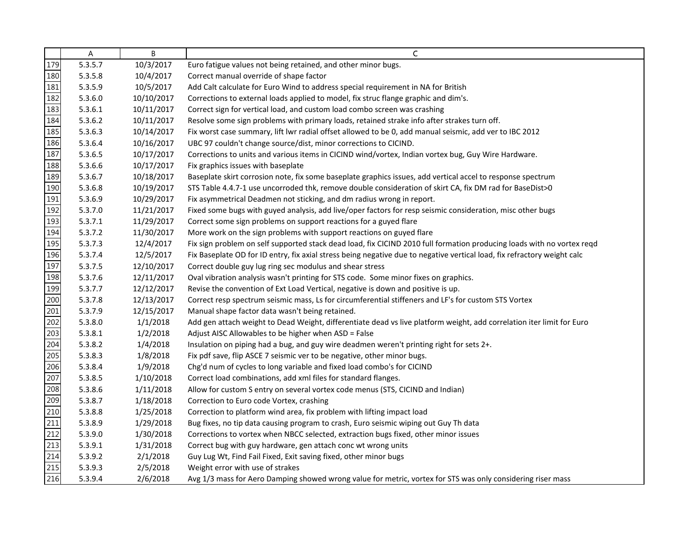|                                                                                                                      | Α       | B          | C                                                                                                                        |
|----------------------------------------------------------------------------------------------------------------------|---------|------------|--------------------------------------------------------------------------------------------------------------------------|
| 179                                                                                                                  | 5.3.5.7 | 10/3/2017  | Euro fatigue values not being retained, and other minor bugs.                                                            |
|                                                                                                                      | 5.3.5.8 | 10/4/2017  | Correct manual override of shape factor                                                                                  |
|                                                                                                                      | 5.3.5.9 | 10/5/2017  | Add Calt calculate for Euro Wind to address special requirement in NA for British                                        |
|                                                                                                                      | 5.3.6.0 | 10/10/2017 | Corrections to external loads applied to model, fix struc flange graphic and dim's.                                      |
|                                                                                                                      | 5.3.6.1 | 10/11/2017 | Correct sign for vertical load, and custom load combo screen was crashing                                                |
|                                                                                                                      | 5.3.6.2 | 10/11/2017 | Resolve some sign problems with primary loads, retained strake info after strakes turn off.                              |
|                                                                                                                      | 5.3.6.3 | 10/14/2017 | Fix worst case summary, lift lwr radial offset allowed to be 0, add manual seismic, add ver to IBC 2012                  |
|                                                                                                                      | 5.3.6.4 | 10/16/2017 | UBC 97 couldn't change source/dist, minor corrections to CICIND.                                                         |
|                                                                                                                      | 5.3.6.5 | 10/17/2017 | Corrections to units and various items in CICIND wind/vortex, Indian vortex bug, Guy Wire Hardware.                      |
|                                                                                                                      | 5.3.6.6 | 10/17/2017 | Fix graphics issues with baseplate                                                                                       |
|                                                                                                                      | 5.3.6.7 | 10/18/2017 | Baseplate skirt corrosion note, fix some baseplate graphics issues, add vertical accel to response spectrum              |
|                                                                                                                      | 5.3.6.8 | 10/19/2017 | STS Table 4.4.7-1 use uncorroded thk, remove double consideration of skirt CA, fix DM rad for BaseDist>0                 |
|                                                                                                                      | 5.3.6.9 | 10/29/2017 | Fix asymmetrical Deadmen not sticking, and dm radius wrong in report.                                                    |
| <u>1818   1819   1919   1919   1919   1919   1919   1919   1919   1919   1919   1920   1920   1920   1920   1920</u> | 5.3.7.0 | 11/21/2017 | Fixed some bugs with guyed analysis, add live/oper factors for resp seismic consideration, misc other bugs               |
|                                                                                                                      | 5.3.7.1 | 11/29/2017 | Correct some sign problems on support reactions for a guyed flare                                                        |
|                                                                                                                      | 5.3.7.2 | 11/30/2017 | More work on the sign problems with support reactions on guyed flare                                                     |
|                                                                                                                      | 5.3.7.3 | 12/4/2017  | Fix sign problem on self supported stack dead load, fix CICIND 2010 full formation producing loads with no vortex reqd   |
|                                                                                                                      | 5.3.7.4 | 12/5/2017  | Fix Baseplate OD for ID entry, fix axial stress being negative due to negative vertical load, fix refractory weight calc |
|                                                                                                                      | 5.3.7.5 | 12/10/2017 | Correct double guy lug ring sec modulus and shear stress                                                                 |
|                                                                                                                      | 5.3.7.6 | 12/11/2017 | Oval vibration analysis wasn't printing for STS code. Some minor fixes on graphics.                                      |
|                                                                                                                      | 5.3.7.7 | 12/12/2017 | Revise the convention of Ext Load Vertical, negative is down and positive is up.                                         |
|                                                                                                                      | 5.3.7.8 | 12/13/2017 | Correct resp spectrum seismic mass, Ls for circumferential stiffeners and LF's for custom STS Vortex                     |
|                                                                                                                      | 5.3.7.9 | 12/15/2017 | Manual shape factor data wasn't being retained.                                                                          |
|                                                                                                                      | 5.3.8.0 | 1/1/2018   | Add gen attach weight to Dead Weight, differentiate dead vs live platform weight, add correlation iter limit for Euro    |
|                                                                                                                      | 5.3.8.1 | 1/2/2018   | Adjust AISC Allowables to be higher when ASD = False                                                                     |
|                                                                                                                      | 5.3.8.2 | 1/4/2018   | Insulation on piping had a bug, and guy wire deadmen weren't printing right for sets 2+.                                 |
|                                                                                                                      | 5.3.8.3 | 1/8/2018   | Fix pdf save, flip ASCE 7 seismic ver to be negative, other minor bugs.                                                  |
|                                                                                                                      | 5.3.8.4 | 1/9/2018   | Chg'd num of cycles to long variable and fixed load combo's for CICIND                                                   |
|                                                                                                                      | 5.3.8.5 | 1/10/2018  | Correct load combinations, add xml files for standard flanges.                                                           |
|                                                                                                                      | 5.3.8.6 | 1/11/2018  | Allow for custom S entry on several vortex code menus (STS, CICIND and Indian)                                           |
|                                                                                                                      | 5.3.8.7 | 1/18/2018  | Correction to Euro code Vortex, crashing                                                                                 |
|                                                                                                                      | 5.3.8.8 | 1/25/2018  | Correction to platform wind area, fix problem with lifting impact load                                                   |
|                                                                                                                      | 5.3.8.9 | 1/29/2018  | Bug fixes, no tip data causing program to crash, Euro seismic wiping out Guy Th data                                     |
|                                                                                                                      | 5.3.9.0 | 1/30/2018  | Corrections to vortex when NBCC selected, extraction bugs fixed, other minor issues                                      |
|                                                                                                                      | 5.3.9.1 | 1/31/2018  | Correct bug with guy hardware, gen attach conc wt wrong units                                                            |
|                                                                                                                      | 5.3.9.2 | 2/1/2018   | Guy Lug Wt, Find Fail Fixed, Exit saving fixed, other minor bugs                                                         |
|                                                                                                                      | 5.3.9.3 | 2/5/2018   | Weight error with use of strakes                                                                                         |
|                                                                                                                      | 5.3.9.4 | 2/6/2018   | Avg 1/3 mass for Aero Damping showed wrong value for metric, vortex for STS was only considering riser mass              |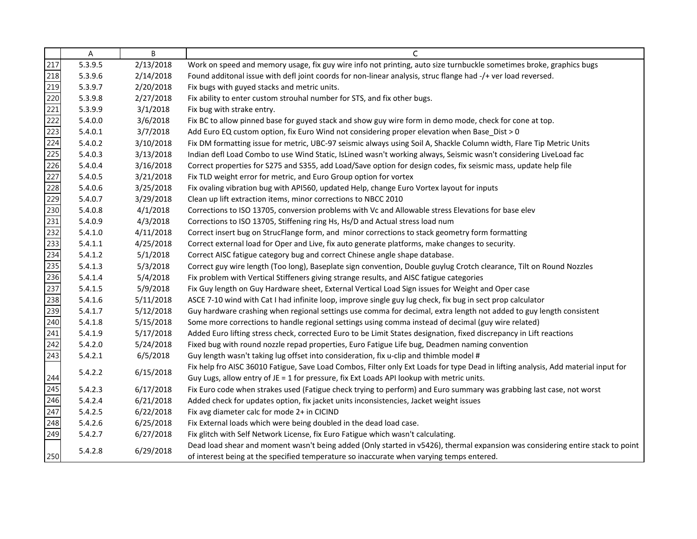|                                 | Α       | B         | C                                                                                                                                                                                                                          |
|---------------------------------|---------|-----------|----------------------------------------------------------------------------------------------------------------------------------------------------------------------------------------------------------------------------|
|                                 | 5.3.9.5 | 2/13/2018 | Work on speed and memory usage, fix guy wire info not printing, auto size turnbuckle sometimes broke, graphics bugs                                                                                                        |
|                                 | 5.3.9.6 | 2/14/2018 | Found additonal issue with defl joint coords for non-linear analysis, struc flange had -/+ ver load reversed.                                                                                                              |
|                                 | 5.3.9.7 | 2/20/2018 | Fix bugs with guyed stacks and metric units.                                                                                                                                                                               |
|                                 | 5.3.9.8 | 2/27/2018 | Fix ability to enter custom strouhal number for STS, and fix other bugs.                                                                                                                                                   |
|                                 | 5.3.9.9 | 3/1/2018  | Fix bug with strake entry.                                                                                                                                                                                                 |
|                                 | 5.4.0.0 | 3/6/2018  | Fix BC to allow pinned base for guyed stack and show guy wire form in demo mode, check for cone at top.                                                                                                                    |
|                                 | 5.4.0.1 | 3/7/2018  | Add Euro EQ custom option, fix Euro Wind not considering proper elevation when Base_Dist > 0                                                                                                                               |
|                                 | 5.4.0.2 | 3/10/2018 | Fix DM formatting issue for metric, UBC-97 seismic always using Soil A, Shackle Column width, Flare Tip Metric Units                                                                                                       |
|                                 | 5.4.0.3 | 3/13/2018 | Indian defl Load Combo to use Wind Static, IsLined wasn't working always, Seismic wasn't considering LiveLoad fac                                                                                                          |
|                                 | 5.4.0.4 | 3/16/2018 | Correct properties for S275 and S355, add Load/Save option for design codes, fix seismic mass, update help file                                                                                                            |
|                                 | 5.4.0.5 | 3/21/2018 | Fix TLD weight error for metric, and Euro Group option for vortex                                                                                                                                                          |
|                                 | 5.4.0.6 | 3/25/2018 | Fix ovaling vibration bug with API560, updated Help, change Euro Vortex layout for inputs                                                                                                                                  |
|                                 | 5.4.0.7 | 3/29/2018 | Clean up lift extraction items, minor corrections to NBCC 2010                                                                                                                                                             |
|                                 | 5.4.0.8 | 4/1/2018  | Corrections to ISO 13705, conversion problems with Vc and Allowable stress Elevations for base elev                                                                                                                        |
|                                 | 5.4.0.9 | 4/3/2018  | Corrections to ISO 13705, Stiffening ring Hs, Hs/D and Actual stress load num                                                                                                                                              |
|                                 | 5.4.1.0 | 4/11/2018 | Correct insert bug on StrucFlange form, and minor corrections to stack geometry form formatting                                                                                                                            |
|                                 | 5.4.1.1 | 4/25/2018 | Correct external load for Oper and Live, fix auto generate platforms, make changes to security.                                                                                                                            |
|                                 | 5.4.1.2 | 5/1/2018  | Correct AISC fatigue category bug and correct Chinese angle shape database.                                                                                                                                                |
|                                 | 5.4.1.3 | 5/3/2018  | Correct guy wire length (Too long), Baseplate sign convention, Double guylug Crotch clearance, Tilt on Round Nozzles                                                                                                       |
|                                 | 5.4.1.4 | 5/4/2018  | Fix problem with Vertical Stiffeners giving strange results, and AISC fatigue categories                                                                                                                                   |
|                                 | 5.4.1.5 | 5/9/2018  | Fix Guy length on Guy Hardware sheet, External Vertical Load Sign issues for Weight and Oper case                                                                                                                          |
|                                 | 5.4.1.6 | 5/11/2018 | ASCE 7-10 wind with Cat I had infinite loop, improve single guy lug check, fix bug in sect prop calculator                                                                                                                 |
|                                 | 5.4.1.7 | 5/12/2018 | Guy hardware crashing when regional settings use comma for decimal, extra length not added to guy length consistent                                                                                                        |
|                                 | 5.4.1.8 | 5/15/2018 | Some more corrections to handle regional settings using comma instead of decimal (guy wire related)                                                                                                                        |
|                                 | 5.4.1.9 | 5/17/2018 | Added Euro lifting stress check, corrected Euro to be Limit States designation, fixed discrepancy in Lift reactions                                                                                                        |
|                                 | 5.4.2.0 | 5/24/2018 | Fixed bug with round nozzle repad properties, Euro Fatigue Life bug, Deadmen naming convention                                                                                                                             |
|                                 | 5.4.2.1 | 6/5/2018  | Guy length wasn't taking lug offset into consideration, fix u-clip and thimble model #                                                                                                                                     |
|                                 | 5.4.2.2 | 6/15/2018 | Fix help fro AISC 36010 Fatigue, Save Load Combos, Filter only Ext Loads for type Dead in lifting analysis, Add material input for                                                                                         |
|                                 |         |           | Guy Lugs, allow entry of JE = 1 for pressure, fix Ext Loads API lookup with metric units.                                                                                                                                  |
|                                 | 5.4.2.3 | 6/17/2018 | Fix Euro code when strakes used (Fatigue check trying to perform) and Euro summary was grabbing last case, not worst                                                                                                       |
| 244<br>245<br>246<br>247<br>248 | 5.4.2.4 | 6/21/2018 | Added check for updates option, fix jacket units inconsistencies, Jacket weight issues                                                                                                                                     |
|                                 | 5.4.2.5 | 6/22/2018 | Fix avg diameter calc for mode 2+ in CICIND                                                                                                                                                                                |
|                                 | 5.4.2.6 | 6/25/2018 | Fix External loads which were being doubled in the dead load case.                                                                                                                                                         |
| 249                             | 5.4.2.7 | 6/27/2018 | Fix glitch with Self Network License, fix Euro Fatigue which wasn't calculating.                                                                                                                                           |
| 250                             | 5.4.2.8 | 6/29/2018 | Dead load shear and moment wasn't being added (Only started in v5426), thermal expansion was considering entire stack to point<br>of interest being at the specified temperature so inaccurate when varying temps entered. |